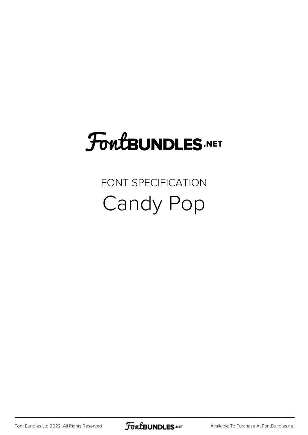# **FoutBUNDLES.NET**

#### FONT SPECIFICATION Candy Pop

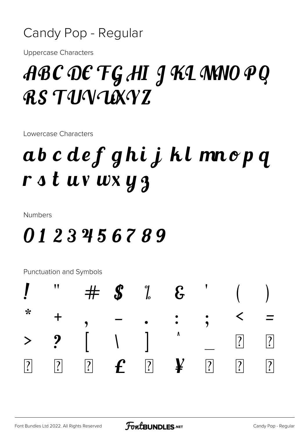#### Candy Pop - Regular

**Uppercase Characters** 

## ABC DE FG AI J KL MNO PQ RS TUNUNY 7.

Lowercase Characters

## ab c de f ghi j kl mn o p q rst uv wx y3

**Numbers** 

#### 0123456789

**Punctuation and Symbols** 

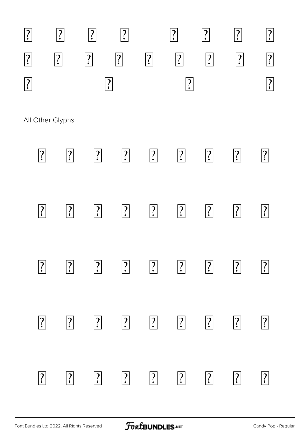

All Other Glyphs

#### À Á Â Ã Ä Å Æ Ç È ÉÊËÌÍÎÏ  $\tilde{\rm N}$ Đ ÒÓÔÔÖרÙ  $\dot{J}$  $\hat{U}$   $\ddot{U}$   $\acute{Y}$   $\beta$   $\dot{A}$   $\acute{a}$ â  $\tilde{\mathbf{a}}$ å æç è é ê ë ä  $\overrightarrow{1}$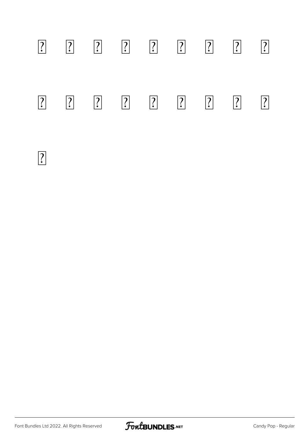# í î ï ð ñ ò ó ô õ ö ÷ ø ù ú û ü ý þ ÿ

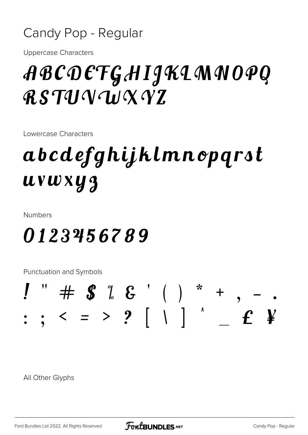#### Candy Pop - Regular

**Uppercase Characters** 

## ABCDEFGHIJKLMNOPQ RSTUNUX YZ

Lowercase Characters

# abcdefghijklmnopqrst  $UVWXY3$

**Numbers** 

#### 0123456789

**Punctuation and Symbols** 



All Other Glyphs